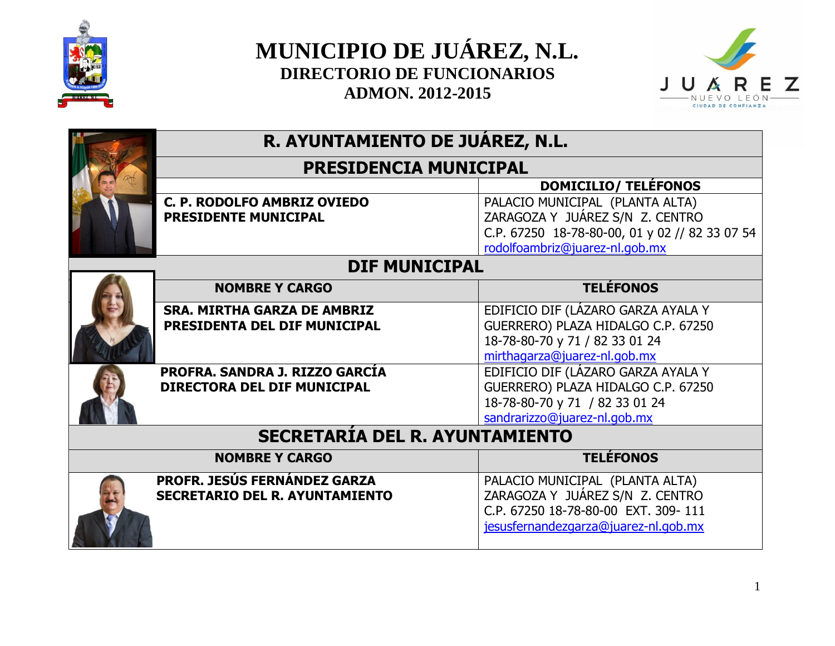



|  | R. AYUNTAMIENTO DE JUÁREZ, N.L.<br><b>PRESIDENCIA MUNICIPAL</b> |                                                |  |
|--|-----------------------------------------------------------------|------------------------------------------------|--|
|  |                                                                 |                                                |  |
|  |                                                                 | <b>DOMICILIO/ TELÉFONOS</b>                    |  |
|  | C. P. RODOLFO AMBRIZ OVIEDO                                     | PALACIO MUNICIPAL (PLANTA ALTA)                |  |
|  | PRESIDENTE MUNICIPAL                                            | ZARAGOZA Y JUÁREZ S/N Z. CENTRO                |  |
|  |                                                                 | C.P. 67250 18-78-80-00, 01 y 02 // 82 33 07 54 |  |
|  |                                                                 | rodolfoambriz@juarez-nl.gob.mx                 |  |
|  | <b>DIF MUNICIPAL</b>                                            |                                                |  |
|  | <b>NOMBRE Y CARGO</b>                                           | <b>TELÉFONOS</b>                               |  |
|  | <b>SRA. MIRTHA GARZA DE AMBRIZ</b>                              | EDIFICIO DIF (LÁZARO GARZA AYALA Y             |  |
|  | PRESIDENTA DEL DIF MUNICIPAL                                    | GUERRERO) PLAZA HIDALGO C.P. 67250             |  |
|  |                                                                 | 18-78-80-70 y 71 / 82 33 01 24                 |  |
|  |                                                                 | mirthagarza@juarez-nl.gob.mx                   |  |
|  | PROFRA. SANDRA J. RIZZO GARCÍA                                  | EDIFICIO DIF (LÁZARO GARZA AYALA Y             |  |
|  | <b>DIRECTORA DEL DIF MUNICIPAL</b>                              | GUERRERO) PLAZA HIDALGO C.P. 67250             |  |
|  |                                                                 | 18-78-80-70 y 71 / 82 33 01 24                 |  |
|  |                                                                 | sandrarizzo@juarez-nl.gob.mx                   |  |
|  | <b>SECRETARÍA DEL R. AYUNTAMIENTO</b>                           |                                                |  |
|  | <b>TELÉFONOS</b><br><b>NOMBRE Y CARGO</b>                       |                                                |  |
|  | <b>PROFR. JESÚS FERNÁNDEZ GARZA</b>                             | PALACIO MUNICIPAL (PLANTA ALTA)                |  |
|  | <b>SECRETARIO DEL R. AYUNTAMIENTO</b>                           | ZARAGOZA Y JUÁREZ S/N Z. CENTRO                |  |
|  |                                                                 | C.P. 67250 18-78-80-00 EXT. 309-111            |  |
|  |                                                                 | jesusfernandezgarza@juarez-nl.gob.mx           |  |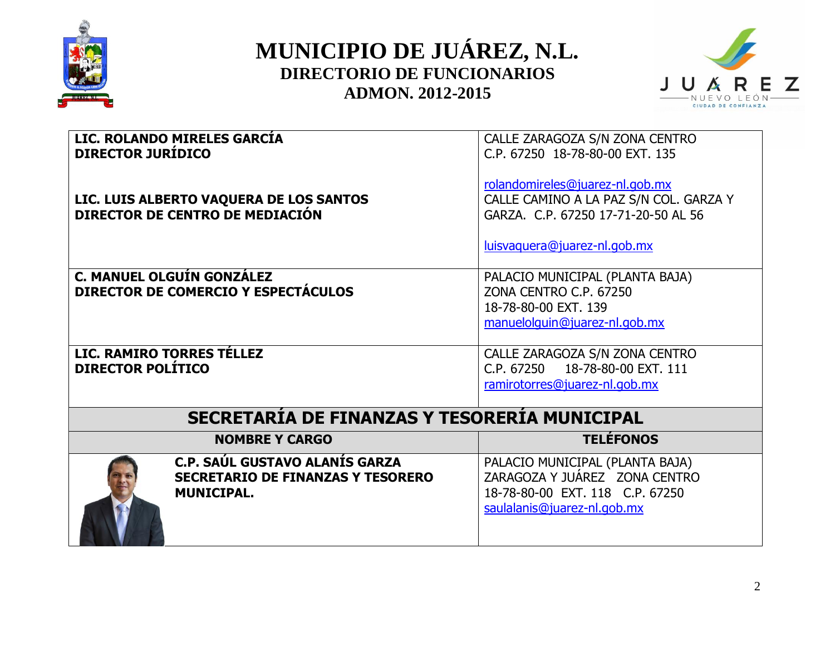



| <b>DIRECTOR JURÍDICO</b> | LIC. ROLANDO MIRELES GARCÍA<br>LIC. LUIS ALBERTO VAQUERA DE LOS SANTOS<br>DIRECTOR DE CENTRO DE MEDIACIÓN | CALLE ZARAGOZA S/N ZONA CENTRO<br>C.P. 67250 18-78-80-00 EXT. 135<br>rolandomireles@juarez-nl.gob.mx<br>CALLE CAMINO A LA PAZ S/N COL. GARZA Y<br>GARZA, C.P. 67250 17-71-20-50 AL 56 |
|--------------------------|-----------------------------------------------------------------------------------------------------------|---------------------------------------------------------------------------------------------------------------------------------------------------------------------------------------|
|                          |                                                                                                           | luisvaguera@juarez-nl.gob.mx                                                                                                                                                          |
|                          | C. MANUEL OLGUÍN GONZÁLEZ<br>DIRECTOR DE COMERCIO Y ESPECTÁCULOS                                          | PALACIO MUNICIPAL (PLANTA BAJA)<br>ZONA CENTRO C.P. 67250<br>18-78-80-00 EXT, 139<br>manuelolguin@juarez-nl.gob.mx                                                                    |
| <b>DIRECTOR POLÍTICO</b> | LIC. RAMIRO TORRES TÉLLEZ                                                                                 | CALLE ZARAGOZA S/N ZONA CENTRO<br>C.P. 67250  18-78-80-00 EXT. 111<br>ramirotorres@juarez-nl.gob.mx                                                                                   |
|                          | SECRETARÍA DE FINANZAS Y TESORERÍA MUNICIPAL                                                              |                                                                                                                                                                                       |
|                          | <b>NOMBRE Y CARGO</b>                                                                                     | <b>TELÉFONOS</b>                                                                                                                                                                      |
|                          | C.P. SAÚL GUSTAVO ALANÍS GARZA<br><b>SECRETARIO DE FINANZAS Y TESORERO</b><br><b>MUNICIPAL.</b>           | PALACIO MUNICIPAL (PLANTA BAJA)<br>ZARAGOZA Y JUÁREZ ZONA CENTRO<br>18-78-80-00 EXT. 118 C.P. 67250<br>saulalanis@juarez-nl.gob.mx                                                    |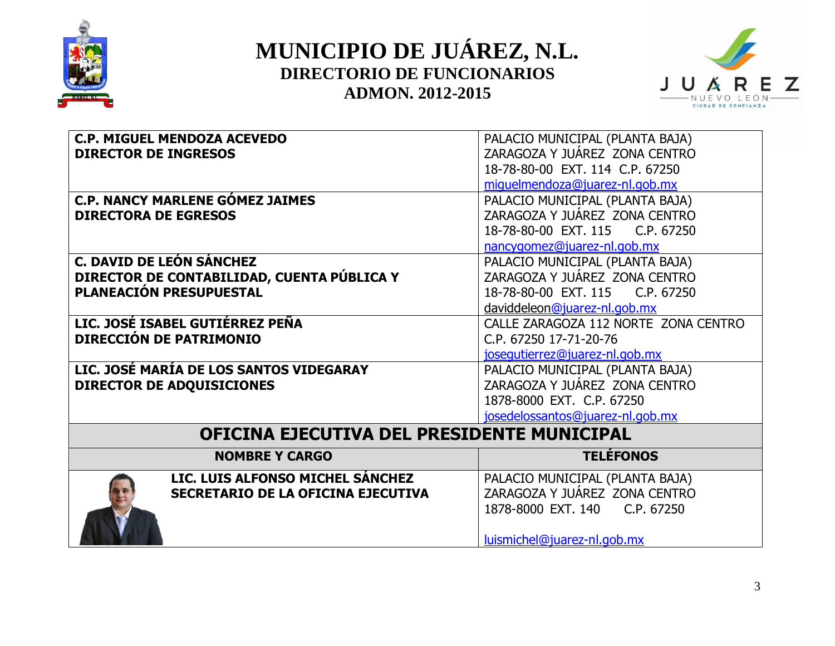



| <b>C.P. MIGUEL MENDOZA ACEVEDO</b>         | PALACIO MUNICIPAL (PLANTA BAJA)      |
|--------------------------------------------|--------------------------------------|
| <b>DIRECTOR DE INGRESOS</b>                | ZARAGOZA Y JUÁREZ ZONA CENTRO        |
|                                            | 18-78-80-00 EXT. 114 C.P. 67250      |
|                                            | miguelmendoza@juarez-nl.gob.mx       |
| <b>C.P. NANCY MARLENE GÓMEZ JAIMES</b>     | PALACIO MUNICIPAL (PLANTA BAJA)      |
| <b>DIRECTORA DE EGRESOS</b>                | ZARAGOZA Y JUÁREZ ZONA CENTRO        |
|                                            | 18-78-80-00 EXT. 115 C.P. 67250      |
|                                            | nancygomez@juarez-nl.gob.mx          |
| <b>C. DAVID DE LEÓN SÁNCHEZ</b>            | PALACIO MUNICIPAL (PLANTA BAJA)      |
| DIRECTOR DE CONTABILIDAD, CUENTA PÚBLICA Y | ZARAGOZA Y JUÁREZ ZONA CENTRO        |
| PLANEACIÓN PRESUPUESTAL                    | 18-78-80-00 EXT. 115 C.P. 67250      |
|                                            | daviddeleon@juarez-nl.gob.mx         |
| LIC. JOSÉ ISABEL GUTIÉRREZ PEÑA            | CALLE ZARAGOZA 112 NORTE ZONA CENTRO |
| DIRECCIÓN DE PATRIMONIO                    | C.P. 67250 17-71-20-76               |
|                                            | josegutierrez@juarez-nl.gob.mx       |
| LIC. JOSÉ MARÍA DE LOS SANTOS VIDEGARAY    | PALACIO MUNICIPAL (PLANTA BAJA)      |
| <b>DIRECTOR DE ADQUISICIONES</b>           | ZARAGOZA Y JUÁREZ ZONA CENTRO        |
|                                            | 1878-8000 EXT. C.P. 67250            |
|                                            | josedelossantos@juarez-nl.gob.mx     |
| OFICINA EJECUTIVA DEL PRESIDENTE MUNICIPAL |                                      |
| <b>NOMBRE Y CARGO</b>                      | <b>TELÉFONOS</b>                     |
| LIC. LUIS ALFONSO MICHEL SÁNCHEZ           | PALACIO MUNICIPAL (PLANTA BAJA)      |
| SECRETARIO DE LA OFICINA EJECUTIVA         | ZARAGOZA Y JUÁREZ ZONA CENTRO        |
|                                            | 1878-8000 EXT. 140<br>C.P. 67250     |
|                                            |                                      |
|                                            | luismichel@juarez-nl.gob.mx          |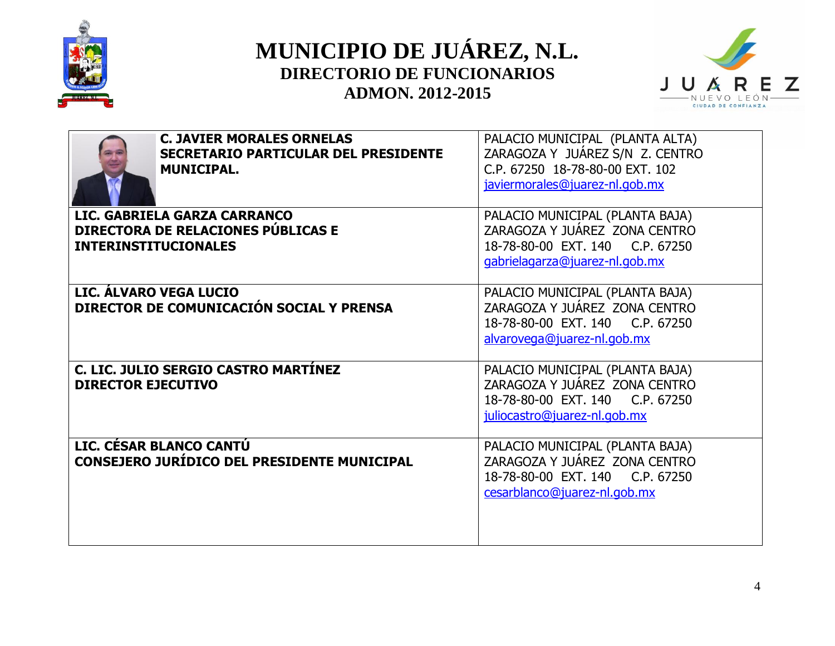



| <b>C. JAVIER MORALES ORNELAS</b><br><b>SECRETARIO PARTICULAR DEL PRESIDENTE</b><br><b>MUNICIPAL.</b> | PALACIO MUNICIPAL (PLANTA ALTA)<br>ZARAGOZA Y JUÁREZ S/N Z. CENTRO<br>C.P. 67250 18-78-80-00 EXT. 102<br>javiermorales@juarez-nl.gob.mx |
|------------------------------------------------------------------------------------------------------|-----------------------------------------------------------------------------------------------------------------------------------------|
| LIC. GABRIELA GARZA CARRANCO<br>DIRECTORA DE RELACIONES PÚBLICAS E<br><b>INTERINSTITUCIONALES</b>    | PALACIO MUNICIPAL (PLANTA BAJA)<br>ZARAGOZA Y JUÁREZ ZONA CENTRO<br>18-78-80-00 EXT, 140 C.P. 67250<br>gabrielagarza@juarez-nl.gob.mx   |
| LIC. ÁLVARO VEGA LUCIO<br>DIRECTOR DE COMUNICACIÓN SOCIAL Y PRENSA                                   | PALACIO MUNICIPAL (PLANTA BAJA)<br>ZARAGOZA Y JUÁREZ ZONA CENTRO<br>18-78-80-00 EXT. 140 C.P. 67250<br>alvarovega@juarez-nl.gob.mx      |
| C. LIC. JULIO SERGIO CASTRO MARTÍNEZ<br><b>DIRECTOR EJECUTIVO</b>                                    | PALACIO MUNICIPAL (PLANTA BAJA)<br>ZARAGOZA Y JUÁREZ ZONA CENTRO<br>18-78-80-00 EXT. 140 C.P. 67250<br>juliocastro@juarez-nl.gob.mx     |
| LIC. CÉSAR BLANCO CANTÚ<br>CONSEJERO JURÍDICO DEL PRESIDENTE MUNICIPAL                               | PALACIO MUNICIPAL (PLANTA BAJA)<br>ZARAGOZA Y JUÁREZ ZONA CENTRO<br>18-78-80-00 EXT, 140 C.P. 67250<br>cesarblanco@juarez-nl.gob.mx     |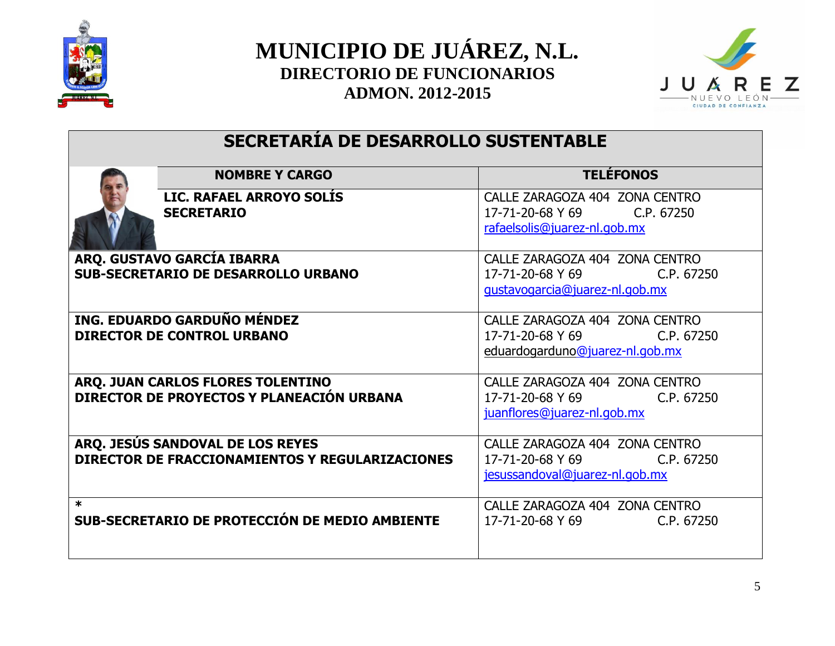



## **SECRETARÍA DE DESARROLLO SUSTENTABLE**

|        | <b>NOMBRE Y CARGO</b>                                                               | <b>TELEFONOS</b>                                                                                   |
|--------|-------------------------------------------------------------------------------------|----------------------------------------------------------------------------------------------------|
|        | LIC. RAFAEL ARROYO SOLIS<br><b>SECRETARIO</b>                                       | CALLE ZARAGOZA 404 ZONA CENTRO<br>17-71-20-68 Y 69<br>C.P. 67250<br>rafaelsolis@juarez-nl.gob.mx   |
|        | ARQ. GUSTAVO GARCÍA IBARRA<br><b>SUB-SECRETARIO DE DESARROLLO URBANO</b>            | CALLE ZARAGOZA 404 ZONA CENTRO<br>17-71-20-68 Y 69<br>C.P. 67250<br>gustavogarcia@juarez-nl.gob.mx |
|        | ING. EDUARDO GARDUÑO MÉNDEZ<br><b>DIRECTOR DE CONTROL URBANO</b>                    | CALLE ZARAGOZA 404 ZONA CENTRO<br>17-71-20-68 Y 69 C.P. 67250<br>eduardogarduno@juarez-nl.gob.mx   |
|        | ARQ. JUAN CARLOS FLORES TOLENTINO<br>DIRECTOR DE PROYECTOS Y PLANEACIÓN URBANA      | CALLE ZARAGOZA 404 ZONA CENTRO<br>17-71-20-68 Y 69<br>C.P. 67250<br>juanflores@juarez-nl.gob.mx    |
|        | ARQ. JESÚS SANDOVAL DE LOS REYES<br>DIRECTOR DE FRACCIONAMIENTOS Y REGULARIZACIONES | CALLE ZARAGOZA 404 ZONA CENTRO<br>17-71-20-68 Y 69<br>C.P. 67250<br>jesussandoval@juarez-nl.gob.mx |
| $\ast$ | SUB-SECRETARIO DE PROTECCIÓN DE MEDIO AMBIENTE                                      | CALLE ZARAGOZA 404 ZONA CENTRO<br>17-71-20-68 Y 69<br>C.P. 67250                                   |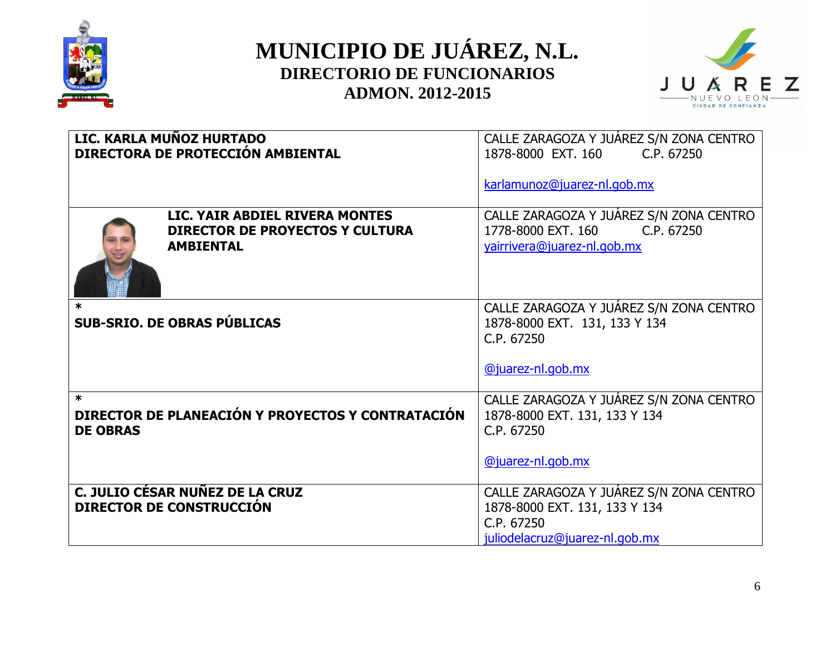



|                           | LIC. KARLA MUÑOZ HURTADO<br>DIRECTORA DE PROTECCIÓN AMBIENTAL                                | CALLE ZARAGOZA Y JUÁREZ S/N ZONA CENTRO<br>1878-8000 EXT, 160<br>C.P. 67250<br>karlamunoz@juarez-nl.gob.mx               |
|---------------------------|----------------------------------------------------------------------------------------------|--------------------------------------------------------------------------------------------------------------------------|
|                           | LIC. YAIR ABDIEL RIVERA MONTES<br><b>DIRECTOR DE PROYECTOS Y CULTURA</b><br><b>AMBIENTAL</b> | CALLE ZARAGOZA Y JUÁREZ S/N ZONA CENTRO<br>1778-8000 EXT, 160<br>C.P. 67250<br>yairrivera@juarez-nl.gob.mx               |
| $\ast$                    | <b>SUB-SRIO. DE OBRAS PÚBLICAS</b>                                                           | CALLE ZARAGOZA Y JUÁREZ S/N ZONA CENTRO<br>1878-8000 EXT. 131, 133 Y 134<br>C.P. 67250<br>@juarez-nl.gob.mx              |
| $\ast$<br><b>DE OBRAS</b> | DIRECTOR DE PLANEACIÓN Y PROYECTOS Y CONTRATACIÓN                                            | CALLE ZARAGOZA Y JUÁREZ S/N ZONA CENTRO<br>1878-8000 EXT. 131, 133 Y 134<br>C.P. 67250<br>@juarez-nl.gob.mx              |
|                           | C. JULIO CÉSAR NUÑEZ DE LA CRUZ<br><b>DIRECTOR DE CONSTRUCCIÓN</b>                           | CALLE ZARAGOZA Y JUÁREZ S/N ZONA CENTRO<br>1878-8000 EXT. 131, 133 Y 134<br>C.P. 67250<br>juliodelacruz@juarez-nl.gob.mx |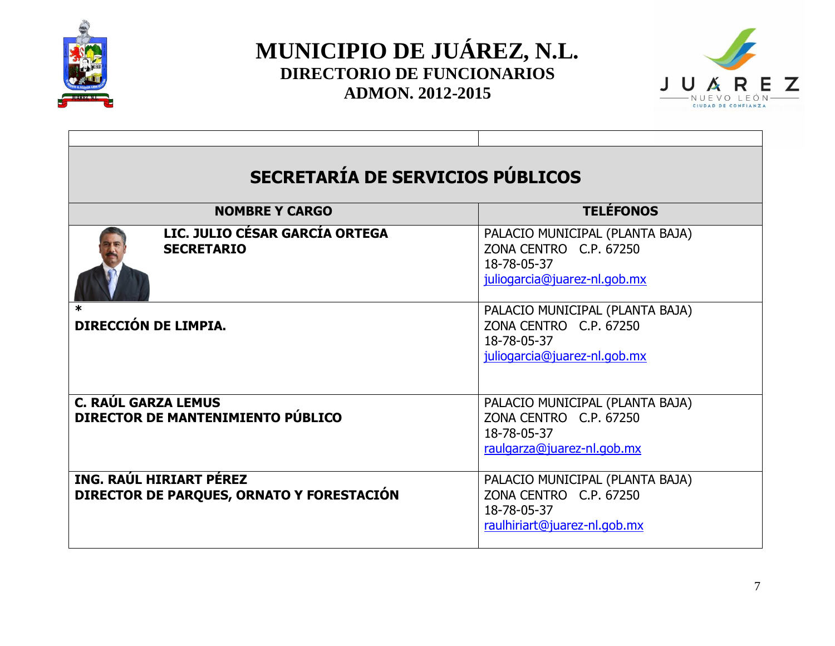



| SECRETARÍA DE SERVICIOS PÚBLICOS                                     |                                                                                                          |  |
|----------------------------------------------------------------------|----------------------------------------------------------------------------------------------------------|--|
| <b>TELÉFONOS</b><br><b>NOMBRE Y CARGO</b>                            |                                                                                                          |  |
| LIC. JULIO CÉSAR GARCÍA ORTEGA<br><b>SECRETARIO</b>                  | PALACIO MUNICIPAL (PLANTA BAJA)<br>ZONA CENTRO C.P. 67250<br>18-78-05-37<br>juliogarcia@juarez-nl.gob.mx |  |
| DIRECCIÓN DE LIMPIA.                                                 | PALACIO MUNICIPAL (PLANTA BAJA)<br>ZONA CENTRO C.P. 67250<br>18-78-05-37<br>juliogarcia@juarez-nl.gob.mx |  |
| <b>C. RAÚL GARZA LEMUS</b><br>DIRECTOR DE MANTENIMIENTO PÚBLICO      | PALACIO MUNICIPAL (PLANTA BAJA)<br>ZONA CENTRO C.P. 67250<br>18-78-05-37<br>raulgarza@juarez-nl.gob.mx   |  |
| ING. RAÚL HIRIART PÉREZ<br>DIRECTOR DE PARQUES, ORNATO Y FORESTACIÓN | PALACIO MUNICIPAL (PLANTA BAJA)<br>ZONA CENTRO C.P. 67250<br>18-78-05-37<br>raulhiriart@juarez-nl.gob.mx |  |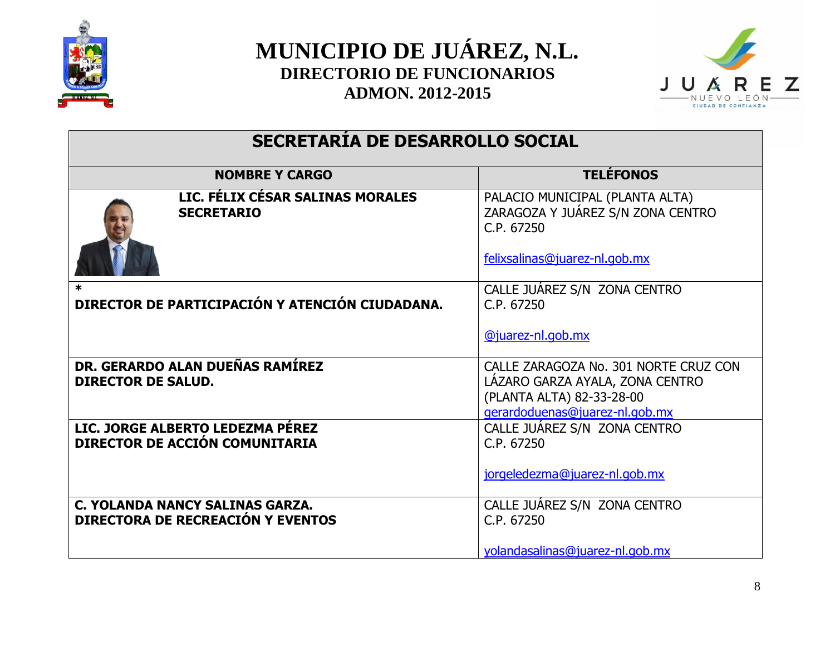



## **SECRETARÍA DE DESARROLLO SOCIAL**

| <b>NOMBRE Y CARGO</b>                                                       | <b>TELÉFONOS</b>                                                                   |
|-----------------------------------------------------------------------------|------------------------------------------------------------------------------------|
| LIC. FÉLIX CÉSAR SALINAS MORALES<br><b>SECRETARIO</b>                       | PALACIO MUNICIPAL (PLANTA ALTA)<br>ZARAGOZA Y JUÁREZ S/N ZONA CENTRO<br>C.P. 67250 |
|                                                                             | felixsalinas@juarez-nl.gob.mx                                                      |
| ж<br>DIRECTOR DE PARTICIPACIÓN Y ATENCIÓN CIUDADANA.                        | CALLE JUAREZ S/N ZONA CENTRO<br>C.P. 67250                                         |
|                                                                             | @juarez-nl.gob.mx                                                                  |
| DR. GERARDO ALAN DUEÑAS RAMÍREZ<br><b>DIRECTOR DE SALUD.</b>                | CALLE ZARAGOZA No. 301 NORTE CRUZ CON<br>LAZARO GARZA AYALA, ZONA CENTRO           |
|                                                                             | (PLANTA ALTA) 82-33-28-00                                                          |
|                                                                             | gerardoduenas@juarez-nl.gob.mx                                                     |
| LIC. JORGE ALBERTO LEDEZMA PÉREZ                                            | CALLE JUAREZ S/N ZONA CENTRO                                                       |
| DIRECTOR DE ACCIÓN COMUNITARIA                                              | C.P. 67250                                                                         |
|                                                                             | jorgeledezma@juarez-nl.gob.mx                                                      |
| C. YOLANDA NANCY SALINAS GARZA.<br><b>DIRECTORA DE RECREACIÓN Y EVENTOS</b> | CALLE JUAREZ S/N ZONA CENTRO<br>C.P. 67250                                         |
|                                                                             |                                                                                    |
|                                                                             | yolandasalinas@juarez-nl.gob.mx                                                    |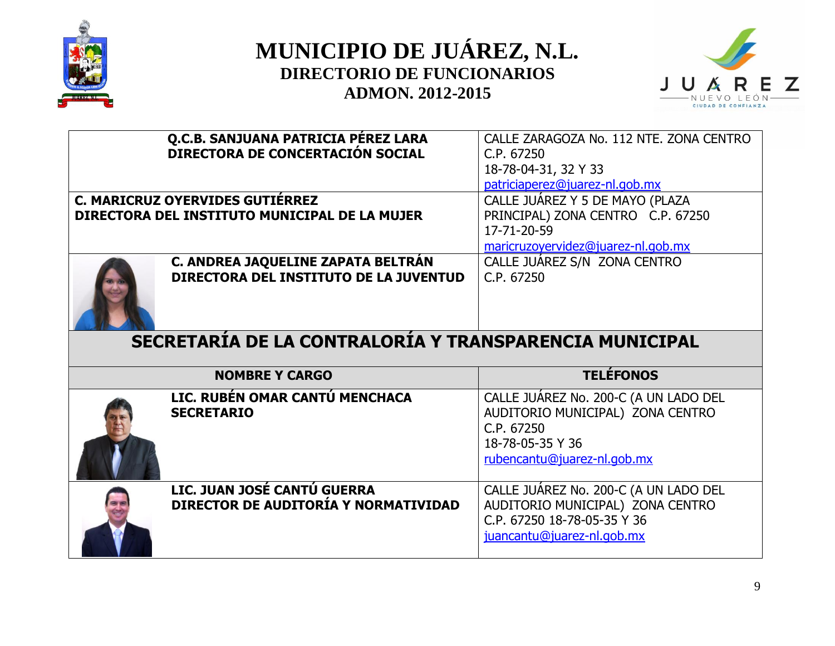



| Q.C.B. SANJUANA PATRICIA PÉREZ LARA<br>DIRECTORA DE CONCERTACIÓN SOCIAL            | CALLE ZARAGOZA No. 112 NTE. ZONA CENTRO<br>C.P. 67250<br>18-78-04-31, 32 Y 33<br>patriciaperez@juarez-nl.gob.mx                            |
|------------------------------------------------------------------------------------|--------------------------------------------------------------------------------------------------------------------------------------------|
| C. MARICRUZ OYERVIDES GUTIÉRREZ<br>DIRECTORA DEL INSTITUTO MUNICIPAL DE LA MUJER   | CALLE JUÁREZ Y 5 DE MAYO (PLAZA<br>PRINCIPAL) ZONA CENTRO C.P. 67250<br>17-71-20-59<br>maricruzoyervidez@juarez-nl.gob.mx                  |
| C. ANDREA JAQUELINE ZAPATA BELTRÁN<br>DIRECTORA DEL INSTITUTO DE LA JUVENTUD       | CALLE JUÁREZ S/N ZONA CENTRO<br>C.P. 67250                                                                                                 |
|                                                                                    |                                                                                                                                            |
| SECRETARÍA DE LA CONTRALORÍA Y TRANSPARENCIA MUNICIPAL                             |                                                                                                                                            |
| <b>NOMBRE Y CARGO</b>                                                              | <b>TELÉFONOS</b>                                                                                                                           |
| LIC. RUBÉN OMAR CANTÚ MENCHACA<br><b>SECRETARIO</b><br>LIC. JUAN JOSÉ CANTÚ GUERRA | CALLE JUÁREZ No. 200-C (A UN LADO DEL<br>AUDITORIO MUNICIPAL) ZONA CENTRO<br>C.P. 67250<br>18-78-05-35 Y 36<br>rubencantu@juarez-nl.gob.mx |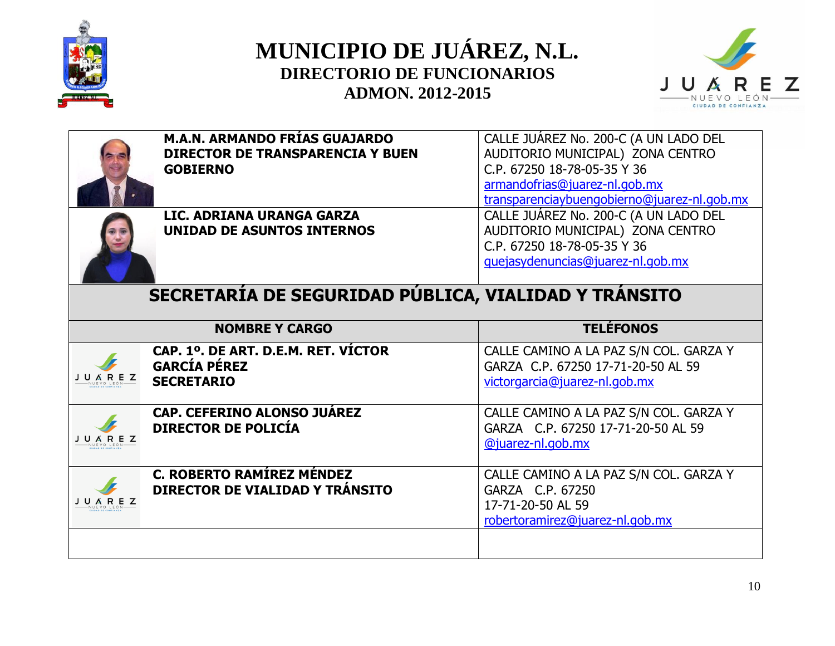





 **M.A.N. ARMANDO FRÍAS GUAJARDO DIRECTOR DE TRANSPARENCIA Y BUEN GOBIERNO**



 **LIC. ADRIANA URANGA GARZA UNIDAD DE ASUNTOS INTERNOS**

CALLE JUÁREZ No. 200-C (A UN LADO DEL AUDITORIO MUNICIPAL) ZONA CENTRO C.P. 67250 18-78-05-35 Y 36 [armandofrias@juarez-nl.gob.mx](mailto:armandofrias@juarez-nl.gob.mx) [transparenciaybuengobierno@juarez-nl.gob.mx](mailto:transparenciaybuengobierno@juarez-nl.gob.mx) CALLE JUÁREZ No. 200-C (A UN LADO DEL AUDITORIO MUNICIPAL) ZONA CENTRO C.P. 67250 18-78-05-35 Y 36 [quejasydenuncias@juarez-nl.gob.mx](mailto:quejasydenuncias@juarez-nl.gob.mx)

#### **SECRETARÍA DE SEGURIDAD PÚBLICA, VIALIDAD Y TRÁNSITO**

|             | <b>NOMBRE Y CARGO</b>                                                           | <b>TELÉFONOS</b>                                                                                                   |
|-------------|---------------------------------------------------------------------------------|--------------------------------------------------------------------------------------------------------------------|
| <b>AREZ</b> | CAP. 1º. DE ART. D.E.M. RET. VÍCTOR<br><b>GARCÍA PÉREZ</b><br><b>SECRETARIO</b> | CALLE CAMINO A LA PAZ S/N COL. GARZA Y<br>GARZA C.P. 67250 17-71-20-50 AL 59<br>victorgarcia@juarez-nl.gob.mx      |
|             | <b>CAP. CEFERINO ALONSO JUÁREZ</b><br><b>DIRECTOR DE POLICÍA</b>                | CALLE CAMINO A LA PAZ S/N COL. GARZA Y<br>GARZA C.P. 67250 17-71-20-50 AL 59<br>@juarez-nl.gob.mx                  |
|             | <b>C. ROBERTO RAMÍREZ MÉNDEZ</b><br>DIRECTOR DE VIALIDAD Y TRÁNSITO             | CALLE CAMINO A LA PAZ S/N COL. GARZA Y<br>GARZA C.P. 67250<br>17-71-20-50 AL 59<br>robertoramirez@juarez-nl.gob.mx |
|             |                                                                                 |                                                                                                                    |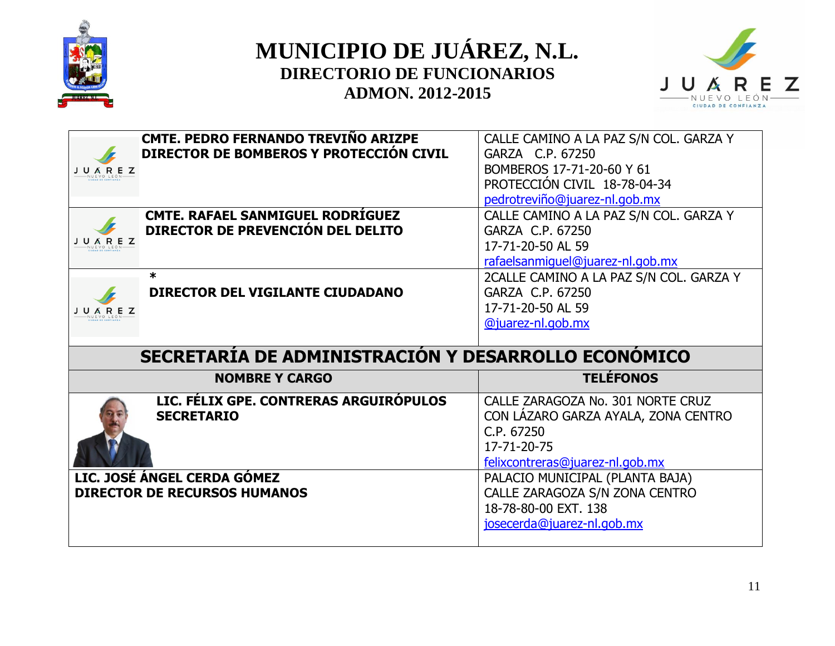



| CMTE. PEDRO FERNANDO TREVIÑO ARIZPE |                                                     | CALLE CAMINO A LA PAZ S/N COL. GARZA Y  |
|-------------------------------------|-----------------------------------------------------|-----------------------------------------|
|                                     | DIRECTOR DE BOMBEROS Y PROTECCIÓN CIVIL             | GARZA C.P. 67250                        |
| J U A R E Z                         |                                                     | BOMBEROS 17-71-20-60 Y 61               |
|                                     |                                                     | PROTECCIÓN CIVIL 18-78-04-34            |
|                                     |                                                     | pedrotreviño@juarez-nl.gob.mx           |
| CMTE. RAFAEL SANMIGUEL RODRÍGUEZ    |                                                     | CALLE CAMINO A LA PAZ S/N COL. GARZA Y  |
| DIRECTOR DE PREVENCIÓN DEL DELITO   |                                                     | GARZA C.P. 67250                        |
| J U Á R E Z                         |                                                     |                                         |
|                                     |                                                     | 17-71-20-50 AL 59                       |
|                                     |                                                     | rafaelsanmiquel@juarez-nl.gob.mx        |
| $\ast$                              |                                                     | 2CALLE CAMINO A LA PAZ S/N COL. GARZA Y |
| DIRECTOR DEL VIGILANTE CIUDADANO    |                                                     | GARZA C.P. 67250                        |
| J U Á R E Z                         |                                                     | 17-71-20-50 AL 59                       |
|                                     |                                                     | @juarez-nl.gob.mx                       |
|                                     |                                                     |                                         |
|                                     |                                                     |                                         |
|                                     | SECRETARÍA DE ADMINISTRACIÓN Y DESARROLLO ECONÓMICO |                                         |
|                                     |                                                     |                                         |
| <b>NOMBRE Y CARGO</b>               |                                                     | <b>TELÉFONOS</b>                        |
|                                     | LIC. FÉLIX GPE. CONTRERAS ARGUIRÓPULOS              | CALLE ZARAGOZA No. 301 NORTE CRUZ       |
| <b>SECRETARIO</b>                   |                                                     |                                         |
|                                     |                                                     | CON LÁZARO GARZA AYALA, ZONA CENTRO     |
|                                     |                                                     | C.P. 67250                              |
|                                     |                                                     | 17-71-20-75                             |
|                                     |                                                     | felixcontreras@juarez-nl.gob.mx         |
| LIC. JOSÉ ÁNGEL CERDA GÓMEZ         |                                                     | PALACIO MUNICIPAL (PLANTA BAJA)         |
| <b>DIRECTOR DE RECURSOS HUMANOS</b> |                                                     | CALLE ZARAGOZA S/N ZONA CENTRO          |
|                                     |                                                     | 18-78-80-00 EXT. 138                    |
|                                     |                                                     | josecerda@juarez-nl.gob.mx              |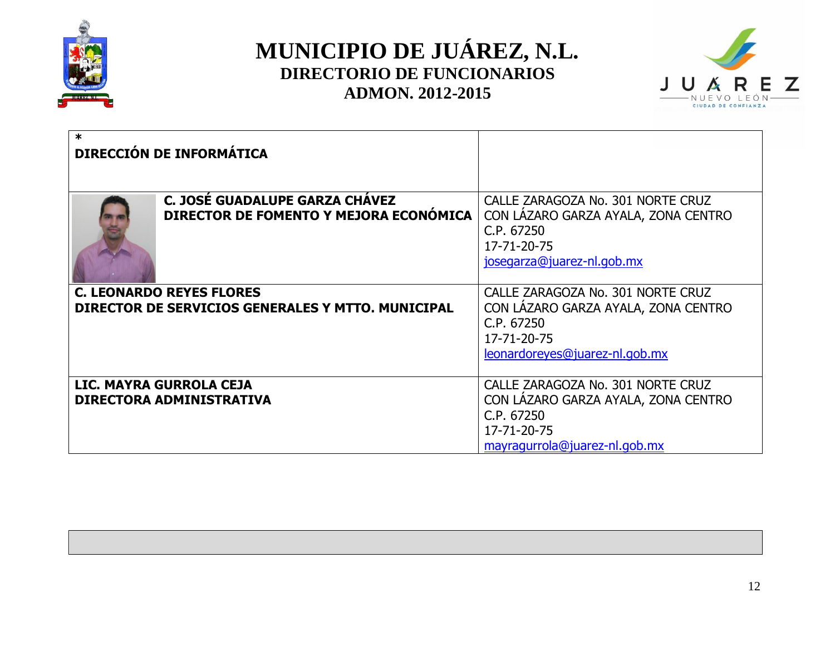



| $\ast$ | <b>DIRECCIÓN DE INFORMÁTICA</b>                                                      |                                                                                                                                         |
|--------|--------------------------------------------------------------------------------------|-----------------------------------------------------------------------------------------------------------------------------------------|
|        |                                                                                      |                                                                                                                                         |
|        | C. JOSÉ GUADALUPE GARZA CHAVEZ<br>DIRECTOR DE FOMENTO Y MEJORA ECONÓMICA             | CALLE ZARAGOZA No. 301 NORTE CRUZ<br>CON LÁZARO GARZA AYALA, ZONA CENTRO<br>C.P. 67250<br>17-71-20-75<br>josegarza@juarez-nl.gob.mx     |
|        | <b>C. LEONARDO REYES FLORES</b><br>DIRECTOR DE SERVICIOS GENERALES Y MTTO. MUNICIPAL | CALLE ZARAGOZA No. 301 NORTE CRUZ<br>CON LAZARO GARZA AYALA, ZONA CENTRO<br>C.P. 67250<br>17-71-20-75<br>leonardoreyes@juarez-nl.gob.mx |
|        | LIC. MAYRA GURROLA CEJA<br><b>DIRECTORA ADMINISTRATIVA</b>                           | CALLE ZARAGOZA No. 301 NORTE CRUZ<br>CON LAZARO GARZA AYALA, ZONA CENTRO<br>C.P. 67250<br>17-71-20-75<br>mayragurrola@juarez-nl.gob.mx  |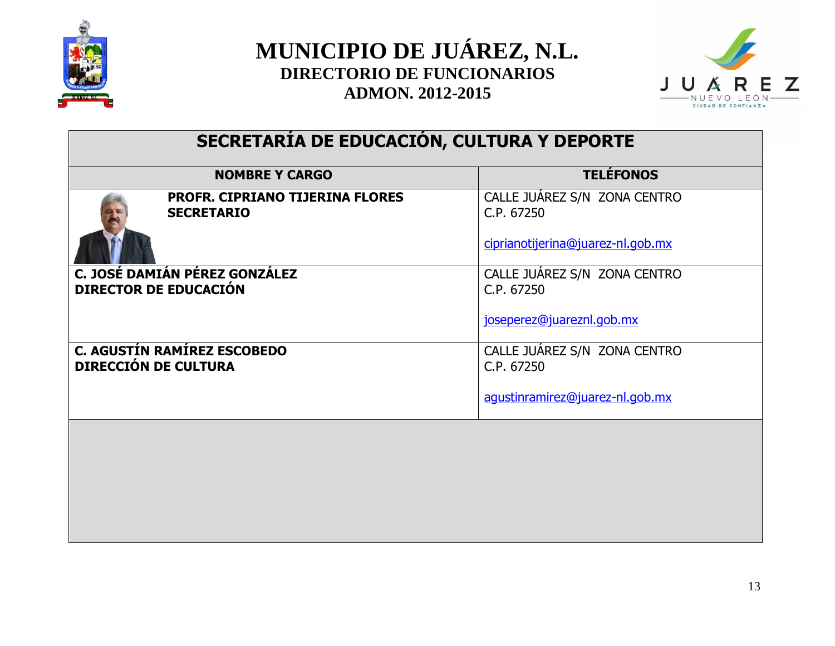



# **SECRETARÍA DE EDUCACIÓN, CULTURA Y DEPORTE**

|                             | <b>NOMBRE Y CARGO</b>                                         | <b>TELÉFONOS</b>                           |
|-----------------------------|---------------------------------------------------------------|--------------------------------------------|
|                             | <b>PROFR. CIPRIANO TIJERINA FLORES</b><br><b>SECRETARIO</b>   | CALLE JUAREZ S/N ZONA CENTRO<br>C.P. 67250 |
|                             |                                                               | ciprianotijerina@juarez-nl.gob.mx          |
|                             | C. JOSÉ DAMIÁN PÉREZ GONZÁLEZ<br><b>DIRECTOR DE EDUCACIÓN</b> | CALLE JUÁREZ S/N ZONA CENTRO<br>C.P. 67250 |
|                             |                                                               | joseperez@juareznl.gob.mx                  |
| <b>DIRECCIÓN DE CULTURA</b> | <b>C. AGUSTÍN RAMÍREZ ESCOBEDO</b>                            | CALLE JUAREZ S/N ZONA CENTRO<br>C.P. 67250 |
|                             |                                                               | agustinramirez@juarez-nl.gob.mx            |
|                             |                                                               |                                            |
|                             |                                                               |                                            |
|                             |                                                               |                                            |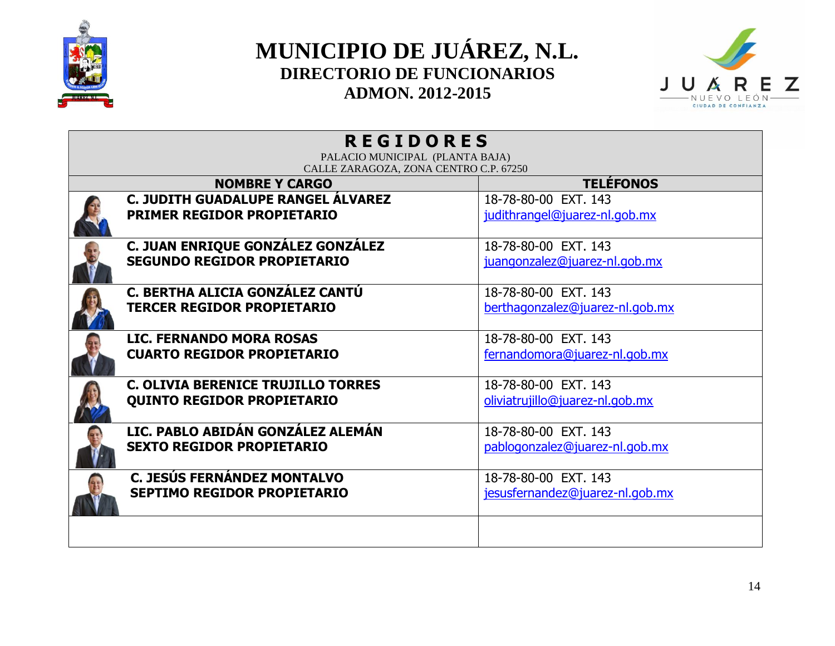



| <b>REGIDORES</b>                                                               |                                    |                                                         |  |  |
|--------------------------------------------------------------------------------|------------------------------------|---------------------------------------------------------|--|--|
| PALACIO MUNICIPAL (PLANTA BAJA)<br>CALLE ZARAGOZA, ZONA CENTRO C.P. 67250      |                                    |                                                         |  |  |
|                                                                                | <b>NOMBRE Y CARGO</b>              | <b>TELÉFONOS</b>                                        |  |  |
| <b>PRIMER REGIDOR PROPIETARIO</b>                                              | C. JUDITH GUADALUPE RANGEL ALVAREZ | 18-78-80-00 EXT, 143<br>judithrangel@juarez-nl.gob.mx   |  |  |
| <b>SEGUNDO REGIDOR PROPIETARIO</b>                                             | C. JUAN ENRIQUE GONZÁLEZ GONZÁLEZ  | 18-78-80-00 EXT. 143<br>juangonzalez@juarez-nl.gob.mx   |  |  |
| C. BERTHA ALICIA GONZÁLEZ CANTÚ<br><b>TERCER REGIDOR PROPIETARIO</b>           |                                    | 18-78-80-00 EXT. 143<br>berthagonzalez@juarez-nl.gob.mx |  |  |
| <b>LIC. FERNANDO MORA ROSAS</b><br><b>CUARTO REGIDOR PROPIETARIO</b>           |                                    | 18-78-80-00 EXT. 143<br>fernandomora@juarez-nl.gob.mx   |  |  |
| <b>C. OLIVIA BERENICE TRUJILLO TORRES</b><br><b>QUINTO REGIDOR PROPIETARIO</b> |                                    | 18-78-80-00 EXT, 143<br>oliviatrujillo@juarez-nl.gob.mx |  |  |
| <b>SEXTO REGIDOR PROPIETARIO</b>                                               | LIC. PABLO ABIDÁN GONZÁLEZ ALEMÁN  | 18-78-80-00 EXT. 143<br>pablogonzalez@juarez-nl.gob.mx  |  |  |
| C. JESÚS FERNÁNDEZ MONTALVO<br><b>SEPTIMO REGIDOR PROPIETARIO</b>              |                                    | 18-78-80-00 EXT, 143<br>jesusfernandez@juarez-nl.gob.mx |  |  |
|                                                                                |                                    |                                                         |  |  |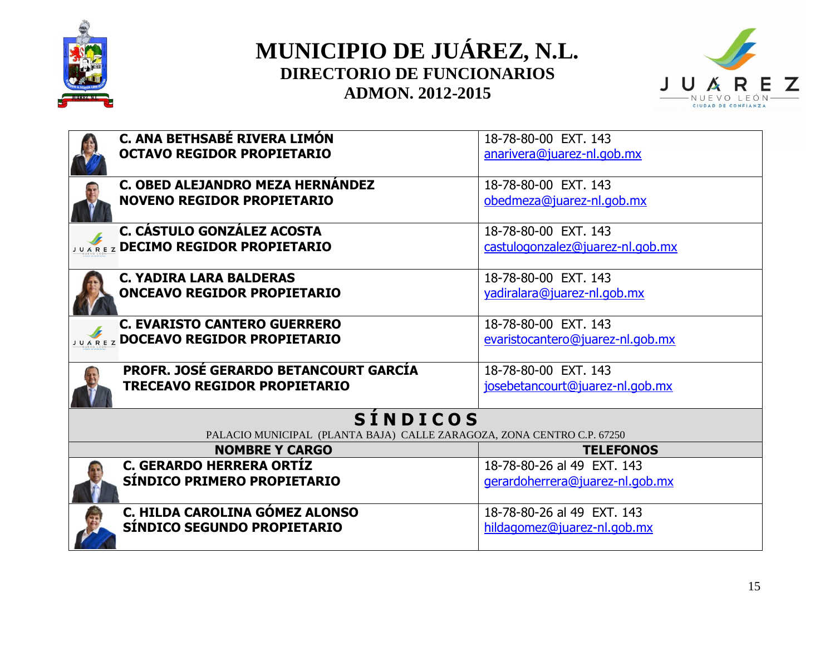



| C. ANA BETHSABÉ RIVERA LIMÓN                                           | 18-78-80-00 EXT, 143             |
|------------------------------------------------------------------------|----------------------------------|
| <b>OCTAVO REGIDOR PROPIETARIO</b>                                      | anarivera@juarez-nl.gob.mx       |
|                                                                        |                                  |
| C. OBED ALEJANDRO MEZA HERNÁNDEZ                                       | 18-78-80-00 EXT. 143             |
| <b>NOVENO REGIDOR PROPIETARIO</b>                                      | obedmeza@juarez-nl.gob.mx        |
|                                                                        |                                  |
| C. CÁSTULO GONZÁLEZ ACOSTA                                             | 18-78-80-00 EXT, 143             |
| <b>JUAREZ DECIMO REGIDOR PROPIETARIO</b>                               | castulogonzalez@juarez-nl.gob.mx |
|                                                                        |                                  |
| <b>C. YADIRA LARA BALDERAS</b>                                         | 18-78-80-00 EXT, 143             |
| <b>ONCEAVO REGIDOR PROPIETARIO</b>                                     | yadiralara@juarez-nl.gob.mx      |
|                                                                        |                                  |
| <b>C. EVARISTO CANTERO GUERRERO</b>                                    | 18-78-80-00 EXT. 143             |
| <b>JUAREZ DOCEAVO REGIDOR PROPIETARIO</b>                              | evaristocantero@juarez-nl.gob.mx |
|                                                                        |                                  |
| <b>PROFR. JOSÉ GERARDO BETANCOURT GARCÍA</b>                           | 18-78-80-00 EXT. 143             |
| <b>TRECEAVO REGIDOR PROPIETARIO</b>                                    | josebetancourt@juarez-nl.gob.mx  |
|                                                                        |                                  |
| <b>SINDICOS</b>                                                        |                                  |
| PALACIO MUNICIPAL (PLANTA BAJA) CALLE ZARAGOZA, ZONA CENTRO C.P. 67250 |                                  |
| <b>NOMBRE Y CARGO</b>                                                  | <b>TELEFONOS</b>                 |
| <b>C. GERARDO HERRERA ORTÍZ</b>                                        | 18-78-80-26 al 49 EXT. 143       |
| SÍNDICO PRIMERO PROPIETARIO                                            | gerardoherrera@juarez-nl.gob.mx  |
|                                                                        |                                  |
| C. HILDA CAROLINA GÓMEZ ALONSO                                         | 18-78-80-26 al 49 EXT, 143       |
| SÍNDICO SEGUNDO PROPIETARIO                                            | hildagomez@juarez-nl.gob.mx      |
|                                                                        |                                  |